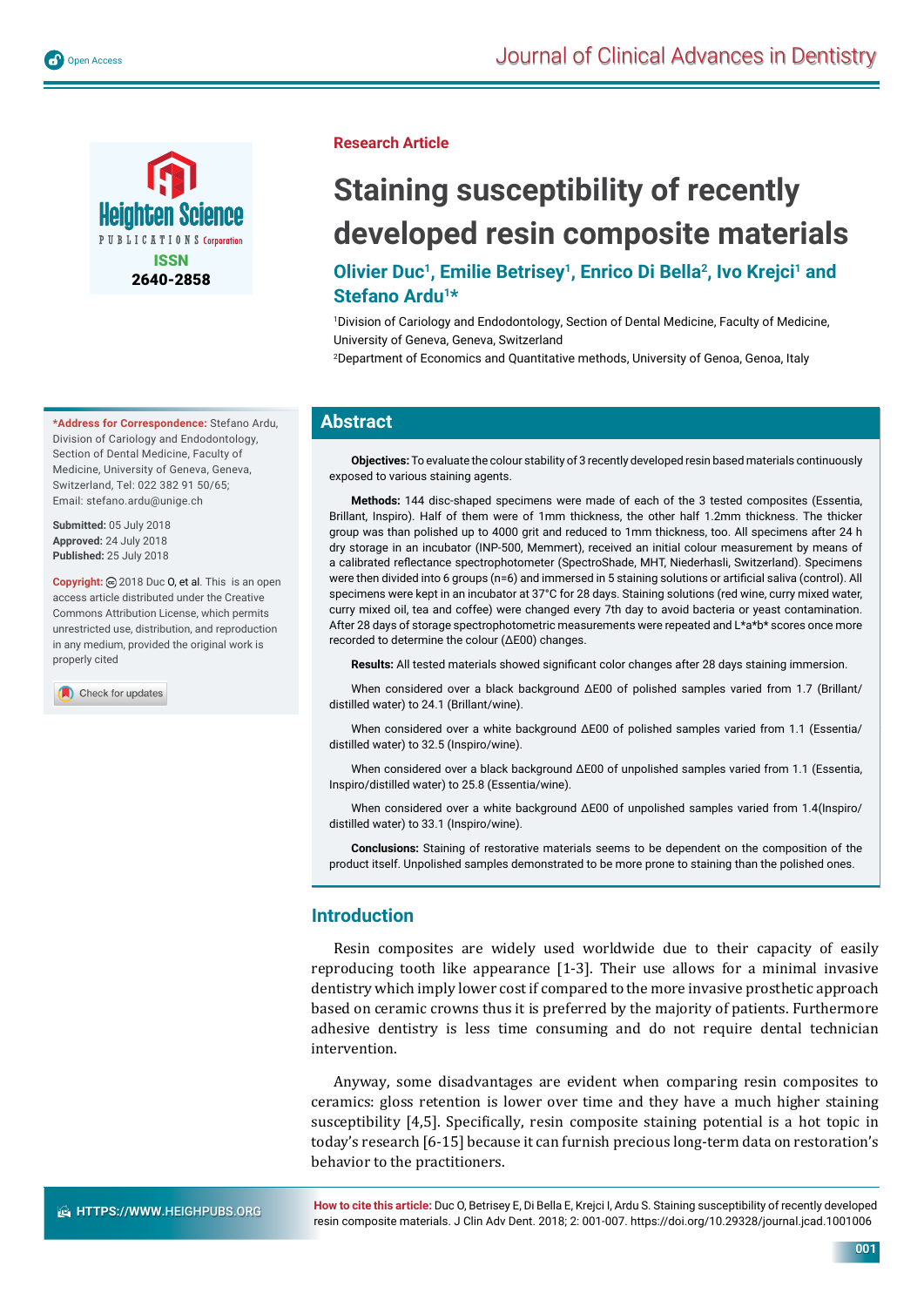

**\*Address for Correspondence:** Stefano Ardu, Division of Cariology and Endodontology, Section of Dental Medicine, Faculty of Medicine, University of Geneva, Geneva, Switzerland, Tel: 022 382 91 50/65; Email: stefano.ardu@unige.ch

**Submitted:** 05 July 2018 **Approved:** 24 July 2018 **Published:** 25 July 2018

**Copyright:** 2018 Duc O, et al. This is an open access article distributed under the Creative Commons Attribution License, which permits unrestricted use, distribution, and reproduction in any medium, provided the original work is properly cited

Check for updates

#### **Research Article**

# **Staining susceptibility of recently developed resin composite materials**

# **Olivier Duc<sup>1</sup>, Emilie Betrisey<sup>1</sup>, Enrico Di Bella<sup>2</sup>, Ivo Krejci<sup>1</sup> and Stefano Ardu1\***

1 Division of Cariology and Endodontology, Section of Dental Medicine, Faculty of Medicine, University of Geneva, Geneva, Switzerland

2 Department of Economics and Quantitative methods, University of Genoa, Genoa, Italy

### **Abstract**

**Objectives:** To evaluate the colour stability of 3 recently developed resin based materials continuously exposed to various staining agents.

**Methods:** 144 disc-shaped specimens were made of each of the 3 tested composites (Essentia, Brillant, Inspiro). Half of them were of 1mm thickness, the other half 1.2mm thickness. The thicker group was than polished up to 4000 grit and reduced to 1mm thickness, too. All specimens after 24 h dry storage in an incubator (INP-500, Memmert), received an initial colour measurement by means of a calibrated reflectance spectrophotometer (SpectroShade, MHT, Niederhasli, Switzerland). Specimens were then divided into 6 groups (n=6) and immersed in 5 staining solutions or artificial saliva (control). All specimens were kept in an incubator at 37°C for 28 days. Staining solutions (red wine, curry mixed water, curry mixed oil, tea and coffee) were changed every 7th day to avoid bacteria or yeast contamination. After 28 days of storage spectrophotometric measurements were repeated and L\*a\*b\* scores once more recorded to determine the colour (∆E00) changes.

Results: All tested materials showed significant color changes after 28 days staining immersion.

When considered over a black background ∆E00 of polished samples varied from 1.7 (Brillant/ distilled water) to 24.1 (Brillant/wine).

When considered over a white background ∆E00 of polished samples varied from 1.1 (Essentia/ distilled water) to 32.5 (Inspiro/wine).

When considered over a black background ∆E00 of unpolished samples varied from 1.1 (Essentia, Inspiro/distilled water) to 25.8 (Essentia/wine).

When considered over a white background ∆E00 of unpolished samples varied from 1.4(Inspiro/ distilled water) to 33.1 (Inspiro/wine).

**Conclusions:** Staining of restorative materials seems to be dependent on the composition of the product itself. Unpolished samples demonstrated to be more prone to staining than the polished ones.

## **Introduction**

Resin composites are widely used worldwide due to their capacity of easily reproducing tooth like appearance [1-3]. Their use allows for a minimal invasive dentistry which imply lower cost if compared to the more invasive prosthetic approach based on ceramic crowns thus it is preferred by the majority of patients. Furthermore adhesive dentistry is less time consuming and do not require dental technician intervention.

Anyway, some disadvantages are evident when comparing resin composites to ceramics: gloss retention is lower over time and they have a much higher staining susceptibility [4,5]. Specifically, resin composite staining potential is a hot topic in today's research [6-15] because it can furnish precious long-term data on restoration's behavior to the practitioners.

**How to cite this article:** Duc O, Betrisey E, Di Bella E, Krejci I, Ardu S. Staining susceptibility of recently developed resin composite materials. J Clin Adv Dent. 2018; 2: 001-007. https://doi.org/10.29328/journal.jcad.1001006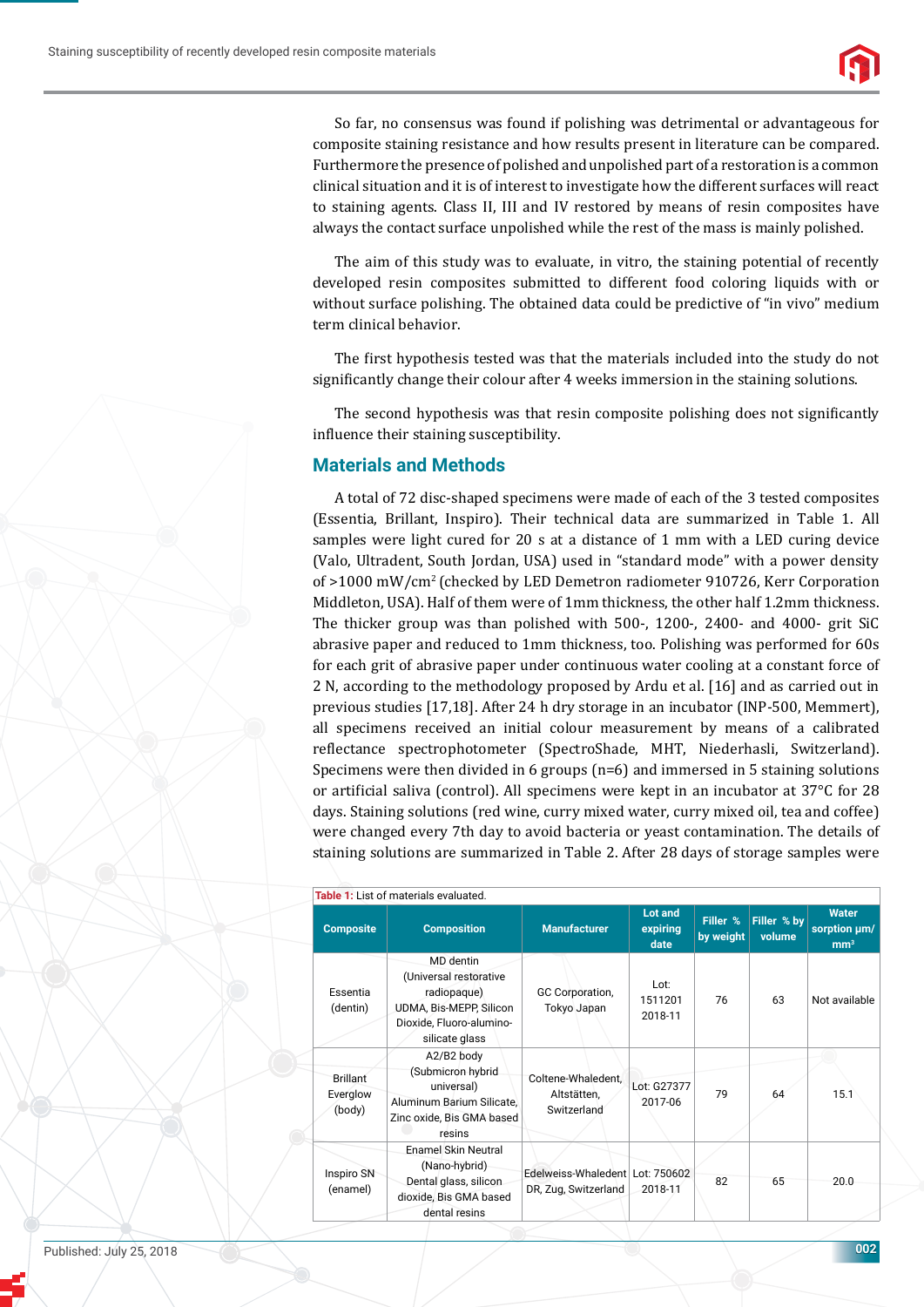

So far, no consensus was found if polishing was detrimental or advantageous for composite staining resistance and how results present in literature can be compared. Furthermore the presence of polished and unpolished part of a restoration is a common clinical situation and it is of interest to investigate how the different surfaces will react to staining agents. Class II, III and IV restored by means of resin composites have always the contact surface unpolished while the rest of the mass is mainly polished.

The aim of this study was to evaluate, in vitro, the staining potential of recently developed resin composites submitted to different food coloring liquids with or without surface polishing. The obtained data could be predictive of "in vivo" medium term clinical behavior.

The first hypothesis tested was that the materials included into the study do not significantly change their colour after 4 weeks immersion in the staining solutions.

The second hypothesis was that resin composite polishing does not significantly influence their staining susceptibility.

#### **Materials and Methods**

A total of 72 disc-shaped specimens were made of each of the 3 tested composites (Essentia, Brillant, Inspiro). Their technical data are summarized in Table 1. All samples were light cured for 20 s at a distance of 1 mm with a LED curing device (Valo, Ultradent, South Jordan, USA) used in "standard mode" with a power density of >1000 mW/cm2 (checked by LED Demetron radiometer 910726, Kerr Corporation Middleton, USA). Half of them were of 1mm thickness, the other half 1.2mm thickness. The thicker group was than polished with 500-, 1200-, 2400- and 4000- grit SiC abrasive paper and reduced to 1mm thickness, too. Polishing was performed for 60s for each grit of abrasive paper under continuous water cooling at a constant force of 2 N, according to the methodology proposed by Ardu et al. [16] and as carried out in previous studies [17,18]. After 24 h dry storage in an incubator (INP-500, Memmert), all specimens received an initial colour measurement by means of a calibrated reflectance spectrophotometer (SpectroShade, MHT, Niederhasli, Switzerland). Specimens were then divided in 6 groups (n=6) and immersed in 5 staining solutions or artificial saliva (control). All specimens were kept in an incubator at  $37^{\circ}$ C for 28 days. Staining solutions (red wine, curry mixed water, curry mixed oil, tea and coffee) were changed every 7th day to avoid bacteria or yeast contamination. The details of staining solutions are summarized in Table 2. After 28 days of storage samples were

| <b>Composite</b>                      | <b>Composition</b>                                                                                                          | <b>Manufacturer</b>                              | Lot and<br>expiring<br>date | Filler %<br>by weight | Filler % by<br>volume | <b>Water</b><br>sorption µm/<br>mm <sup>3</sup> |  |
|---------------------------------------|-----------------------------------------------------------------------------------------------------------------------------|--------------------------------------------------|-----------------------------|-----------------------|-----------------------|-------------------------------------------------|--|
| Essentia<br>(dentin)                  | MD dentin<br>(Universal restorative<br>radiopaque)<br>UDMA, Bis-MEPP, Silicon<br>Dioxide, Fluoro-alumino-<br>silicate glass | GC Corporation,<br>Tokyo Japan                   | Lot:<br>1511201<br>2018-11  | 76                    | 63                    | Not available                                   |  |
| <b>Brillant</b><br>Everglow<br>(body) | A2/B2 body<br>(Submicron hybrid<br>universal)<br>Aluminum Barium Silicate.<br>Zinc oxide, Bis GMA based<br>resins           | Coltene-Whaledent.<br>Altstätten,<br>Switzerland | Lot: G27377<br>2017-06      | 79                    | 64                    | 15.1                                            |  |
| Inspiro SN<br>(enamel)                | <b>Enamel Skin Neutral</b><br>(Nano-hybrid)<br>Dental glass, silicon<br>dioxide, Bis GMA based<br>dental resins             | Edelweiss-Whaledent<br>DR, Zug, Switzerland      | Lot: 750602<br>2018-11      | 82                    | 65                    | 20.0                                            |  |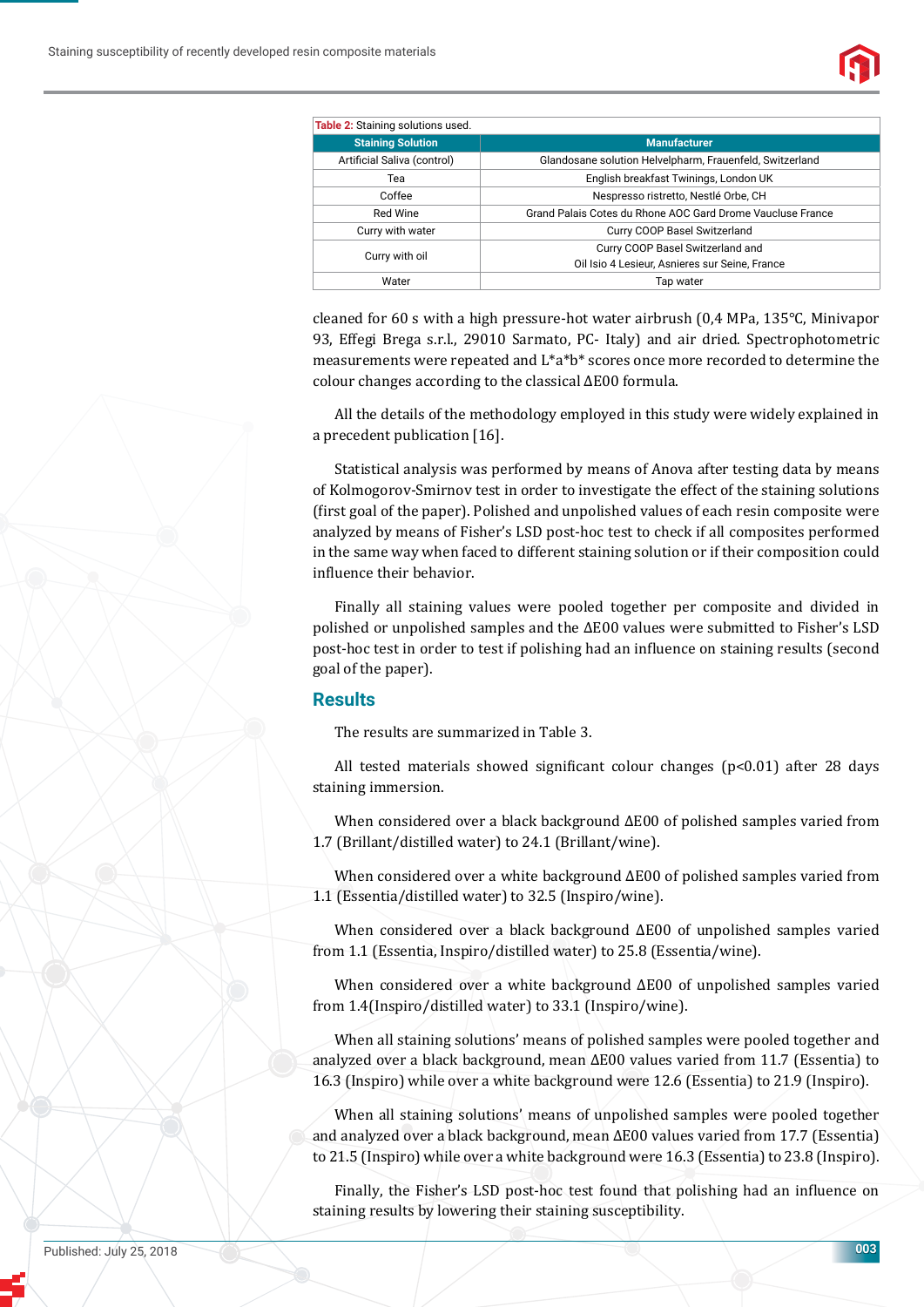

| <b>Table 2: Staining solutions used.</b> |                                                            |  |  |  |  |  |  |
|------------------------------------------|------------------------------------------------------------|--|--|--|--|--|--|
| <b>Staining Solution</b>                 | <b>Manufacturer</b>                                        |  |  |  |  |  |  |
| Artificial Saliva (control)              | Glandosane solution Helvelpharm, Frauenfeld, Switzerland   |  |  |  |  |  |  |
| Tea                                      | English breakfast Twinings, London UK                      |  |  |  |  |  |  |
| Coffee                                   | Nespresso ristretto, Nestlé Orbe, CH                       |  |  |  |  |  |  |
| Red Wine                                 | Grand Palais Cotes du Rhone AOC Gard Drome Vaucluse France |  |  |  |  |  |  |
| Curry with water                         | Curry COOP Basel Switzerland                               |  |  |  |  |  |  |
| Curry with oil                           | Curry COOP Basel Switzerland and                           |  |  |  |  |  |  |
|                                          | Oil Isio 4 Lesieur, Asnieres sur Seine, France             |  |  |  |  |  |  |
| Water                                    | Tap water                                                  |  |  |  |  |  |  |

cleaned for 60 s with a high pressure-hot water airbrush (0,4 MPa, 135°C, Minivapor 93, Effegi Brega s.r.l., 29010 Sarmato, PC- Italy) and air dried. Spectrophotometric measurements were repeated and  $L^*a^*b^*$  scores once more recorded to determine the colour changes according to the classical ΔE00 formula.

All the details of the methodology employed in this study were widely explained in a precedent publication [16].

Statistical analysis was performed by means of Anova after testing data by means of Kolmogorov-Smirnov test in order to investigate the effect of the staining solutions (first goal of the paper). Polished and unpolished values of each resin composite were analyzed by means of Fisher's LSD post-hoc test to check if all composites performed in the same way when faced to different staining solution or if their composition could influence their behavior.

Finally all staining values were pooled together per composite and divided in polished or unpolished samples and the ΔE00 values were submitted to Fisher's LSD post-hoc test in order to test if polishing had an influence on staining results (second goal of the paper).

#### **Results**

The results are summarized in Table 3.

All tested materials showed significant colour changes ( $p<0.01$ ) after 28 days staining immersion.

When considered over a black background ΔE00 of polished samples varied from 1.7 (Brillant/distilled water) to 24.1 (Brillant/wine).

When considered over a white background ΔE00 of polished samples varied from 1.1 (Essentia/distilled water) to 32.5 (Inspiro/wine).

When considered over a black background ΔE00 of unpolished samples varied from 1.1 (Essentia, Inspiro/distilled water) to 25.8 (Essentia/wine).

When considered over a white background ΔE00 of unpolished samples varied from 1.4(Inspiro/distilled water) to 33.1 (Inspiro/wine).

When all staining solutions' means of polished samples were pooled together and analyzed over a black background, mean ΔE00 values varied from 11.7 (Essentia) to 16.3 (Inspiro) while over a white background were 12.6 (Essentia) to 21.9 (Inspiro).

When all staining solutions' means of unpolished samples were pooled together and analyzed over a black background, mean ΔE00 values varied from 17.7 (Essentia) to 21.5 (Inspiro) while over a white background were 16.3 (Essentia) to 23.8 (Inspiro).

Finally, the Fisher's LSD post-hoc test found that polishing had an influence on staining results by lowering their staining susceptibility.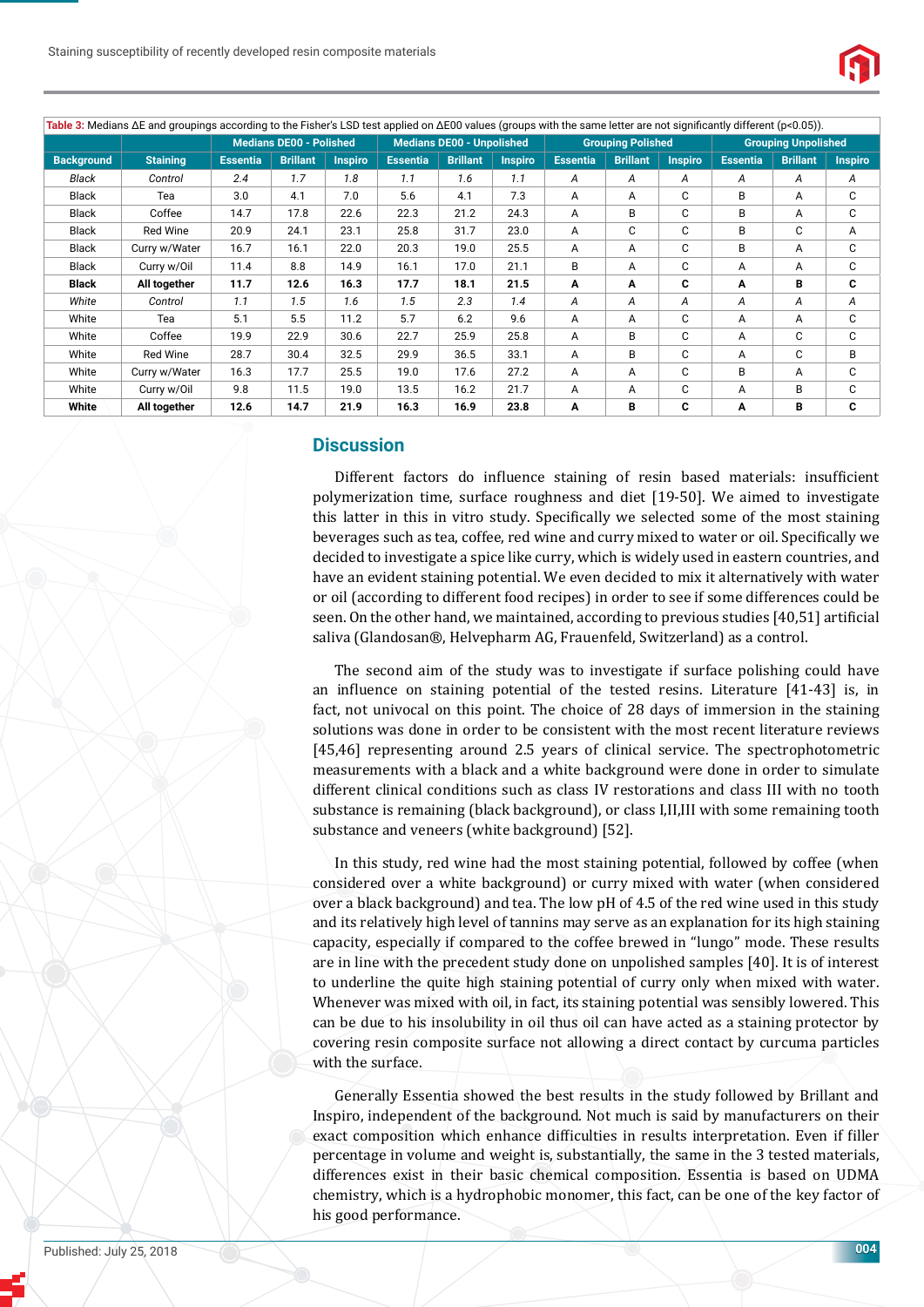

| Table 3: Medians $\Delta E$ and groupings according to the Fisher's LSD test applied on $\Delta E00$ values (groups with the same letter are not significantly different (p<0.05)). |                 |                                |                 |                                  |                 |                          |                |                 |                            |                |                 |                 |                |
|-------------------------------------------------------------------------------------------------------------------------------------------------------------------------------------|-----------------|--------------------------------|-----------------|----------------------------------|-----------------|--------------------------|----------------|-----------------|----------------------------|----------------|-----------------|-----------------|----------------|
|                                                                                                                                                                                     |                 | <b>Medians DE00 - Polished</b> |                 | <b>Medians DE00 - Unpolished</b> |                 | <b>Grouping Polished</b> |                |                 | <b>Grouping Unpolished</b> |                |                 |                 |                |
| <b>Background</b>                                                                                                                                                                   | <b>Staining</b> | <b>Essentia</b>                | <b>Brillant</b> | <b>Inspiro</b>                   | <b>Essentia</b> | <b>Brillant</b>          | <b>Inspiro</b> | <b>Essentia</b> | <b>Brillant</b>            | <b>Inspiro</b> | <b>Essentia</b> | <b>Brillant</b> | <b>Inspiro</b> |
| Black                                                                                                                                                                               | Control         | 2.4                            | 1.7             | 1.8                              | 1.1             | 1.6                      | 1.1            | A               | A                          | А              | A               | A               | А              |
| Black                                                                                                                                                                               | Tea             | 3.0                            | 4.1             | 7.0                              | 5.6             | 4.1                      | 7.3            | A               | A                          | C              | B               | A               | C              |
| <b>Black</b>                                                                                                                                                                        | Coffee          | 14.7                           | 17.8            | 22.6                             | 22.3            | 21.2                     | 24.3           | A               | B                          | C              | B               | A               | C              |
| <b>Black</b>                                                                                                                                                                        | Red Wine        | 20.9                           | 24.1            | 23.1                             | 25.8            | 31.7                     | 23.0           | A               | C                          | C              | B               | C               | A              |
| Black                                                                                                                                                                               | Curry w/Water   | 16.7                           | 16.1            | 22.0                             | 20.3            | 19.0                     | 25.5           | A               | A                          | C              | В               | A               | С              |
| Black                                                                                                                                                                               | Curry w/Oil     | 11.4                           | 8.8             | 14.9                             | 16.1            | 17.0                     | 21.1           | B               | A                          | C              | A               | A               | C              |
| <b>Black</b>                                                                                                                                                                        | All together    | 11.7                           | 12.6            | 16.3                             | 17.7            | 18.1                     | 21.5           | A               | A                          | C              | A               | в               | C              |
| White                                                                                                                                                                               | Control         | 1.1                            | 1.5             | 1.6                              | 1.5             | 2.3                      | 1.4            | A               | А                          | Α              | A               | A               | А              |
| White                                                                                                                                                                               | Tea             | 5.1                            | 5.5             | 11.2                             | 5.7             | 6.2                      | 9.6            | A               | A                          | C              | A               | A               | C              |
| White                                                                                                                                                                               | Coffee          | 19.9                           | 22.9            | 30.6                             | 22.7            | 25.9                     | 25.8           | A               | B                          | C              | A               | C               | C              |
| White                                                                                                                                                                               | Red Wine        | 28.7                           | 30.4            | 32.5                             | 29.9            | 36.5                     | 33.1           | A               | B                          | C              | A               | C               | B              |
| White                                                                                                                                                                               | Curry w/Water   | 16.3                           | 17.7            | 25.5                             | 19.0            | 17.6                     | 27.2           | A               | A                          | C              | B               | A               | C              |
| White                                                                                                                                                                               | Curry w/Oil     | 9.8                            | 11.5            | 19.0                             | 13.5            | 16.2                     | 21.7           | A               | A                          | C              | A               | B               | C              |
| White                                                                                                                                                                               | All together    | 12.6                           | 14.7            | 21.9                             | 16.3            | 16.9                     | 23.8           | A               | В                          | C              | A               | B               | C              |

#### **Discussion**

Different factors do influence staining of resin based materials: insufficient polymerization time, surface roughness and diet [19-50]. We aimed to investigate this latter in this in vitro study. Specifically we selected some of the most staining beverages such as tea, coffee, red wine and curry mixed to water or oil. Specifically we decided to investigate a spice like curry, which is widely used in eastern countries, and have an evident staining potential. We even decided to mix it alternatively with water or oil (according to different food recipes) in order to see if some differences could be seen. On the other hand, we maintained, according to previous studies [40,51] artificial saliva (Glandosan®, Helvepharm AG, Frauenfeld, Switzerland) as a control.

The second aim of the study was to investigate if surface polishing could have an influence on staining potential of the tested resins. Literature [41-43] is, in fact, not univocal on this point. The choice of 28 days of immersion in the staining solutions was done in order to be consistent with the most recent literature reviews [45,46] representing around 2.5 years of clinical service. The spectrophotometric measurements with a black and a white background were done in order to simulate different clinical conditions such as class IV restorations and class III with no tooth substance is remaining (black background), or class I,II,III with some remaining tooth substance and veneers (white background) [52].

In this study, red wine had the most staining potential, followed by coffee (when considered over a white background) or curry mixed with water (when considered over a black background) and tea. The low pH of 4.5 of the red wine used in this study and its relatively high level of tannins may serve as an explanation for its high staining capacity, especially if compared to the coffee brewed in "lungo" mode. These results are in line with the precedent study done on unpolished samples [40]. It is of interest to underline the quite high staining potential of curry only when mixed with water. Whenever was mixed with oil, in fact, its staining potential was sensibly lowered. This can be due to his insolubility in oil thus oil can have acted as a staining protector by covering resin composite surface not allowing a direct contact by curcuma particles with the surface.

Generally Essentia showed the best results in the study followed by Brillant and Inspiro, independent of the background. Not much is said by manufacturers on their exact composition which enhance difficulties in results interpretation. Even if filler percentage in volume and weight is, substantially, the same in the 3 tested materials, differences exist in their basic chemical composition. Essentia is based on UDMA chemistry, which is a hydrophobic monomer, this fact, can be one of the key factor of his good performance.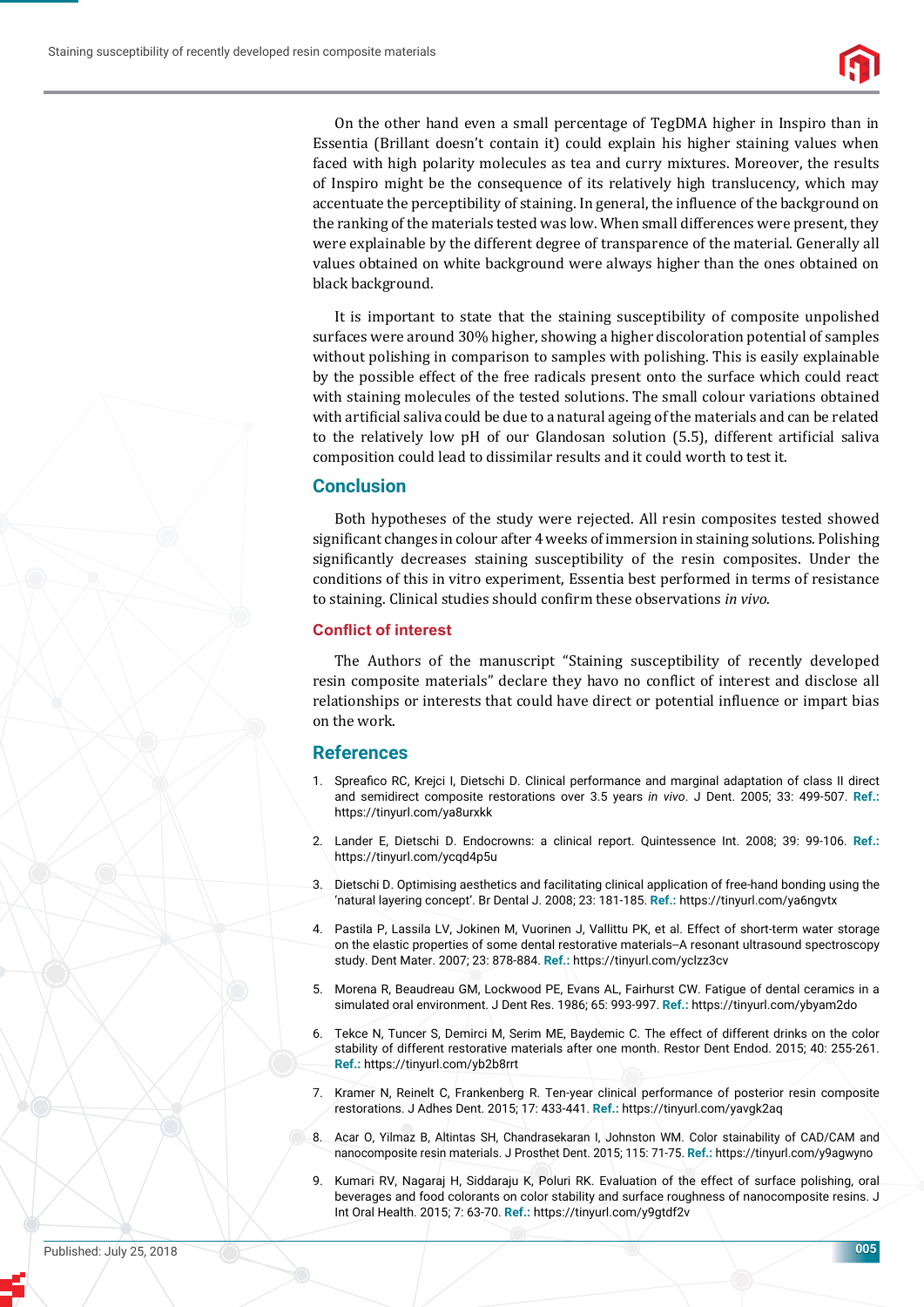

On the other hand even a small percentage of TegDMA higher in Inspiro than in Essentia (Brillant doesn't contain it) could explain his higher staining values when faced with high polarity molecules as tea and curry mixtures. Moreover, the results of Inspiro might be the consequence of its relatively high translucency, which may accentuate the perceptibility of staining. In general, the influence of the background on the ranking of the materials tested was low. When small differences were present, they were explainable by the different degree of transparence of the material. Generally all values obtained on white background were always higher than the ones obtained on black background.

It is important to state that the staining susceptibility of composite unpolished surfaces were around 30% higher, showing a higher discoloration potential of samples without polishing in comparison to samples with polishing. This is easily explainable by the possible effect of the free radicals present onto the surface which could react with staining molecules of the tested solutions. The small colour variations obtained with artificial saliva could be due to a natural ageing of the materials and can be related to the relatively low pH of our Glandosan solution (5.5), different artificial saliva composition could lead to dissimilar results and it could worth to test it.

#### **Conclusion**

Both hypotheses of the study were rejected. All resin composites tested showed significant changes in colour after 4 weeks of immersion in staining solutions. Polishing significantly decreases staining susceptibility of the resin composites. Under the conditions of this in vitro experiment, Essentia best performed in terms of resistance to staining. Clinical studies should confirm these observations *in vivo*.

#### **Conflict of interest**

The Authors of the manuscript "Staining susceptibility of recently developed resin composite materials" declare they havo no conflict of interest and disclose all relationships or interests that could have direct or potential influence or impart bias on the work.

#### **References**

- 1. Spreafico RC, Kreici I, Dietschi D. Clinical performance and marginal adaptation of class II direct and semidirect composite restorations over 3.5 years *in vivo*. J Dent. 2005; 33: 499-507. **Ref.:** https://tinyurl.com/ya8urxkk
- 2. Lander E, Dietschi D. Endocrowns: a clinical report. Quintessence Int. 2008; 39: 99-106. **Ref.:** https://tinyurl.com/ycqd4p5u
- 3. Dietschi D. Optimising aesthetics and facilitating clinical application of free-hand bonding using the 'natural layering concept'. Br Dental J. 2008; 23: 181-185. **Ref.:** https://tinyurl.com/ya6ngvtx
- 4. Pastila P, Lassila LV, Jokinen M, Vuorinen J, Vallittu PK, et al. Effect of short-term water storage on the elastic properties of some dental restorative materials--A resonant ultrasound spectroscopy study. Dent Mater. 2007; 23: 878-884. **Ref.:** https://tinyurl.com/yclzz3cv
- 5. Morena R, Beaudreau GM, Lockwood PE, Evans AL, Fairhurst CW. Fatigue of dental ceramics in a simulated oral environment. J Dent Res. 1986; 65: 993-997. **Ref.:** https://tinyurl.com/ybyam2do
- 6. Tekce N, Tuncer S, Demirci M, Serim ME, Baydemic C. The effect of different drinks on the color stability of different restorative materials after one month. Restor Dent Endod. 2015; 40: 255-261. **Ref.:** https://tinyurl.com/yb2b8rrt
- 7. Kramer N, Reinelt C, Frankenberg R. Ten-year clinical performance of posterior resin composite restorations. J Adhes Dent. 2015; 17: 433-441. **Ref.:** https://tinyurl.com/yavgk2aq
- 8. Acar O, Yilmaz B, Altintas SH, Chandrasekaran I, Johnston WM. Color stainability of CAD/CAM and nanocomposite resin materials. J Prosthet Dent. 2015; 115: 71-75. **Ref.:** https://tinyurl.com/y9agwyno
- 9. Kumari RV, Nagaraj H, Siddaraju K, Poluri RK. Evaluation of the effect of surface polishing, oral beverages and food colorants on color stability and surface roughness of nanocomposite resins. J Int Oral Health. 2015; 7: 63-70. **Ref.:** https://tinyurl.com/y9gtdf2v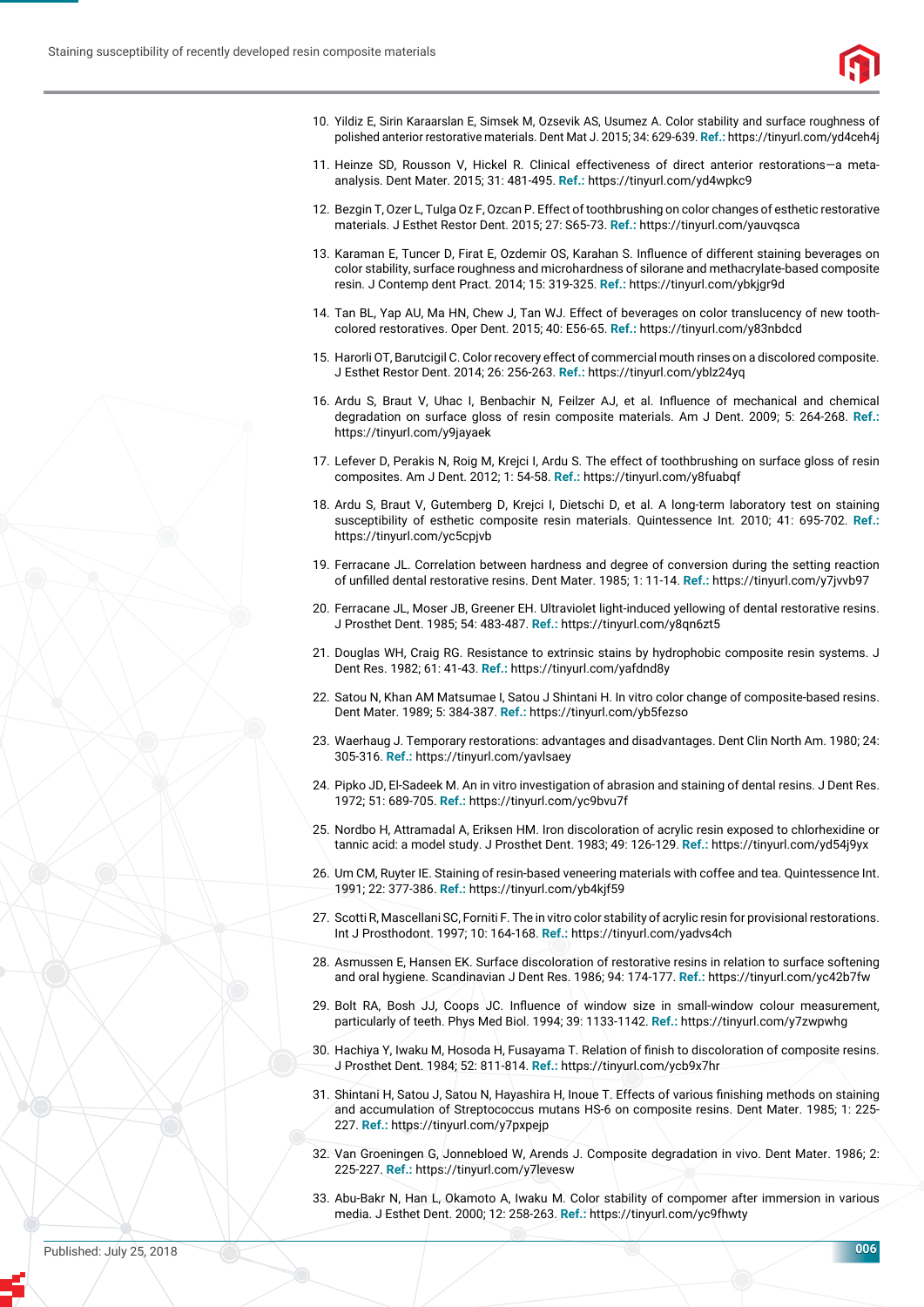

- 10. Yildiz E, Sirin Karaarslan E, Simsek M, Ozsevik AS, Usumez A. Color stability and surface roughness of polished anterior restorative materials. Dent Mat J. 2015; 34: 629-639. **Ref.:** https://tinyurl.com/yd4ceh4j
- 11. Heinze SD, Rousson V, Hickel R. Clinical effectiveness of direct anterior restorations—a metaanalysis. Dent Mater. 2015; 31: 481-495. **Ref.:** https://tinyurl.com/yd4wpkc9
- 12. Bezgin T, Ozer L, Tulga Oz F, Ozcan P. Effect of toothbrushing on color changes of esthetic restorative materials. J Esthet Restor Dent. 2015; 27: S65-73. **Ref.:** https://tinyurl.com/yauvqsca
- 13. Karaman E, Tuncer D, Firat E, Ozdemir OS, Karahan S. Influence of different staining beverages on color stability, surface roughness and microhardness of silorane and methacrylate-based composite resin. J Contemp dent Pract. 2014; 15: 319-325. **Ref.:** https://tinyurl.com/ybkjgr9d
- 14. Tan BL, Yap AU, Ma HN, Chew J, Tan WJ. Effect of beverages on color translucency of new toothcolored restoratives. Oper Dent. 2015; 40: E56-65. **Ref.:** https://tinyurl.com/y83nbdcd
- 15. Harorli OT, Barutcigil C. Color recovery effect of commercial mouth rinses on a discolored composite. J Esthet Restor Dent. 2014; 26: 256-263. **Ref.:** https://tinyurl.com/yblz24yq
- 16. Ardu S, Braut V, Uhac I, Benbachir N, Feilzer AJ, et al. Influence of mechanical and chemical degradation on surface gloss of resin composite materials. Am J Dent. 2009; 5: 264-268. **Ref.:** https://tinyurl.com/y9jayaek
- 17. Lefever D, Perakis N, Roig M, Krejci I, Ardu S. The effect of toothbrushing on surface gloss of resin composites. Am J Dent. 2012; 1: 54-58. **Ref.:** https://tinyurl.com/y8fuabqf
- 18. Ardu S, Braut V, Gutemberg D, Krejci I, Dietschi D, et al. A long-term laboratory test on staining susceptibility of esthetic composite resin materials. Quintessence Int. 2010; 41: 695-702. **Ref.:** https://tinyurl.com/yc5cpjvb
- 19. Ferracane JL. Correlation between hardness and degree of conversion during the setting reaction of unfi lled dental restorative resins. Dent Mater. 1985; 1: 11-14. **Ref.:** https://tinyurl.com/y7jvvb97
- 20. Ferracane JL, Moser JB, Greener EH. Ultraviolet light-induced yellowing of dental restorative resins. J Prosthet Dent. 1985; 54: 483-487. **Ref.:** https://tinyurl.com/y8qn6zt5
- 21. Douglas WH, Craig RG. Resistance to extrinsic stains by hydrophobic composite resin systems. J Dent Res. 1982; 61: 41-43. **Ref.:** https://tinyurl.com/yafdnd8y
- 22. Satou N, Khan AM Matsumae I, Satou J Shintani H. In vitro color change of composite-based resins. Dent Mater. 1989; 5: 384-387. **Ref.:** https://tinyurl.com/yb5fezso
- 23. Waerhaug J. Temporary restorations: advantages and disadvantages. Dent Clin North Am. 1980; 24: 305-316. **Ref.:** https://tinyurl.com/yavlsaey
- 24. Pipko JD, El-Sadeek M. An in vitro investigation of abrasion and staining of dental resins. J Dent Res. 1972; 51: 689-705. **Ref.:** https://tinyurl.com/yc9bvu7f
- 25. Nordbo H, Attramadal A, Eriksen HM. Iron discoloration of acrylic resin exposed to chlorhexidine or tannic acid: a model study. J Prosthet Dent. 1983; 49: 126-129. **Ref.:** https://tinyurl.com/yd54j9yx
- 26. Um CM, Ruyter IE. Staining of resin-based veneering materials with coffee and tea. Quintessence Int. 1991; 22: 377-386. **Ref.:** https://tinyurl.com/yb4kjf59
- 27. Scotti R, Mascellani SC, Forniti F. The in vitro color stability of acrylic resin for provisional restorations. Int J Prosthodont. 1997; 10: 164-168. **Ref.:** https://tinyurl.com/yadvs4ch
- 28. Asmussen E, Hansen EK. Surface discoloration of restorative resins in relation to surface softening and oral hygiene. Scandinavian J Dent Res. 1986; 94: 174-177. **Ref.:** https://tinyurl.com/yc42b7fw
- 29. Bolt RA, Bosh JJ, Coops JC. Influence of window size in small-window colour measurement, particularly of teeth. Phys Med Biol. 1994; 39: 1133-1142. **Ref.:** https://tinyurl.com/y7zwpwhg
- 30. Hachiya Y, Iwaku M, Hosoda H, Fusayama T. Relation of finish to discoloration of composite resins. J Prosthet Dent. 1984; 52: 811-814. **Ref.:** https://tinyurl.com/ycb9x7hr
- 31. Shintani H, Satou J, Satou N, Hayashira H, Inoue T. Effects of various finishing methods on staining and accumulation of Streptococcus mutans HS-6 on composite resins. Dent Mater. 1985; 1: 225- 227. **Ref.:** https://tinyurl.com/y7pxpejp
- 32. Van Groeningen G, Jonnebloed W, Arends J. Composite degradation in vivo. Dent Mater. 1986; 2: 225-227. **Ref.:** https://tinyurl.com/y7levesw
- 33. Abu-Bakr N, Han L, Okamoto A, Iwaku M. Color stability of compomer after immersion in various media. J Esthet Dent. 2000; 12: 258-263. **Ref.:** https://tinyurl.com/yc9fhwty